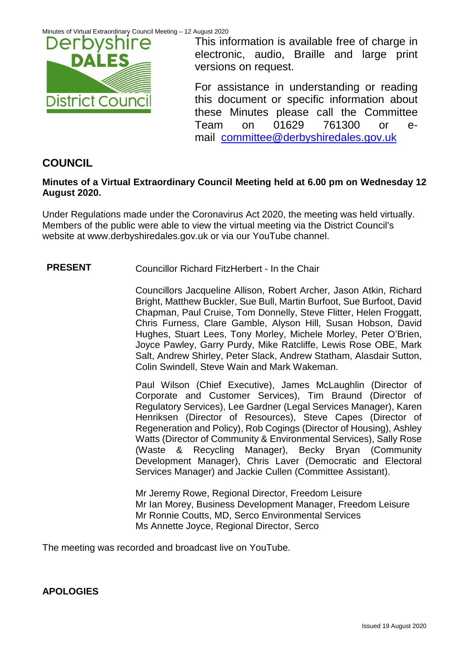

This information is available free of charge in electronic, audio, Braille and large print versions on request.

For assistance in understanding or reading this document or specific information about these Minutes please call the Committee Team on 01629 761300 or email [committee@derbyshiredales.gov.uk](mailto:brian.evans@derbyshiredales.gov.uk) 

# **COUNCIL**

## **Minutes of a Virtual Extraordinary Council Meeting held at 6.00 pm on Wednesday 12 August 2020.**

Under Regulations made under the Coronavirus Act 2020, the meeting was held virtually. Members of the public were able to view the virtual meeting via the District Council's website at [www.derbyshiredales.gov.uk](http://www.derbyshiredales.gov.uk/) or via our YouTube channel.

# **PRESENT** Councillor Richard FitzHerbert - In the Chair

Councillors Jacqueline Allison, Robert Archer, Jason Atkin, Richard Bright, Matthew Buckler, Sue Bull, Martin Burfoot, Sue Burfoot, David Chapman, Paul Cruise, Tom Donnelly, Steve Flitter, Helen Froggatt, Chris Furness, Clare Gamble, Alyson Hill, Susan Hobson, David Hughes, Stuart Lees, Tony Morley, Michele Morley, Peter O'Brien, Joyce Pawley, Garry Purdy, Mike Ratcliffe, Lewis Rose OBE, Mark Salt, Andrew Shirley, Peter Slack, Andrew Statham, Alasdair Sutton, Colin Swindell, Steve Wain and Mark Wakeman.

Paul Wilson (Chief Executive), James McLaughlin (Director of Corporate and Customer Services), Tim Braund (Director of Regulatory Services), Lee Gardner (Legal Services Manager), Karen Henriksen (Director of Resources), Steve Capes (Director of Regeneration and Policy), Rob Cogings (Director of Housing), Ashley Watts (Director of Community & Environmental Services), Sally Rose (Waste & Recycling Manager), Becky Bryan (Community Development Manager), Chris Laver (Democratic and Electoral Services Manager) and Jackie Cullen (Committee Assistant).

Mr Jeremy Rowe, Regional Director, Freedom Leisure Mr Ian Morey, Business Development Manager, Freedom Leisure Mr Ronnie Coutts, MD, Serco Environmental Services Ms Annette Joyce, Regional Director, Serco

The meeting was recorded and broadcast live on YouTube.

**APOLOGIES**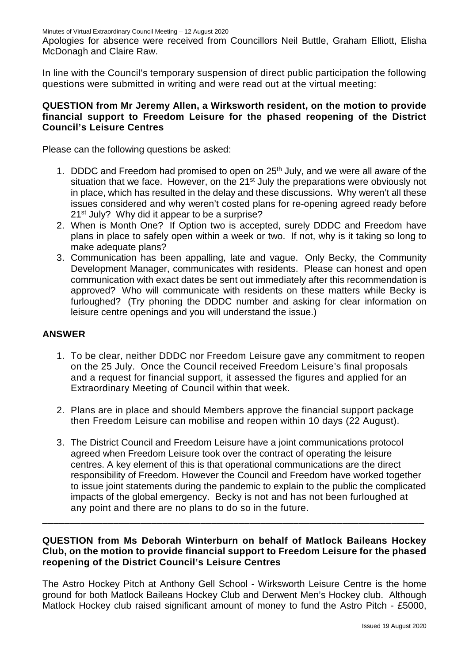Apologies for absence were received from Councillors Neil Buttle, Graham Elliott, Elisha McDonagh and Claire Raw.

In line with the Council's temporary suspension of direct public participation the following questions were submitted in writing and were read out at the virtual meeting:

### **QUESTION from Mr Jeremy Allen, a Wirksworth resident, on the motion to provide financial support to Freedom Leisure for the phased reopening of the District Council's Leisure Centres**

Please can the following questions be asked:

- 1. DDDC and Freedom had promised to open on 25<sup>th</sup> July, and we were all aware of the situation that we face. However, on the 21<sup>st</sup> July the preparations were obviously not in place, which has resulted in the delay and these discussions. Why weren't all these issues considered and why weren't costed plans for re-opening agreed ready before 21<sup>st</sup> July? Why did it appear to be a surprise?
- 2. When is Month One? If Option two is accepted, surely DDDC and Freedom have plans in place to safely open within a week or two. If not, why is it taking so long to make adequate plans?
- 3. Communication has been appalling, late and vague. Only Becky, the Community Development Manager, communicates with residents. Please can honest and open communication with exact dates be sent out immediately after this recommendation is approved? Who will communicate with residents on these matters while Becky is furloughed? (Try phoning the DDDC number and asking for clear information on leisure centre openings and you will understand the issue.)

### **ANSWER**

- 1. To be clear, neither DDDC nor Freedom Leisure gave any commitment to reopen on the 25 July. Once the Council received Freedom Leisure's final proposals and a request for financial support, it assessed the figures and applied for an Extraordinary Meeting of Council within that week.
- 2. Plans are in place and should Members approve the financial support package then Freedom Leisure can mobilise and reopen within 10 days (22 August).
- 3. The District Council and Freedom Leisure have a joint communications protocol agreed when Freedom Leisure took over the contract of operating the leisure centres. A key element of this is that operational communications are the direct responsibility of Freedom. However the Council and Freedom have worked together to issue joint statements during the pandemic to explain to the public the complicated impacts of the global emergency. Becky is not and has not been furloughed at any point and there are no plans to do so in the future.

### **QUESTION from Ms Deborah Winterburn on behalf of Matlock Baileans Hockey Club, on the motion to provide financial support to Freedom Leisure for the phased reopening of the District Council's Leisure Centres**

\_\_\_\_\_\_\_\_\_\_\_\_\_\_\_\_\_\_\_\_\_\_\_\_\_\_\_\_\_\_\_\_\_\_\_\_\_\_\_\_\_\_\_\_\_\_\_\_\_\_\_\_\_\_\_\_\_\_\_\_\_\_\_\_\_\_\_\_\_\_

The Astro Hockey Pitch at Anthony Gell School - Wirksworth Leisure Centre is the home ground for both Matlock Baileans Hockey Club and Derwent Men's Hockey club. Although Matlock Hockey club raised significant amount of money to fund the Astro Pitch - £5000,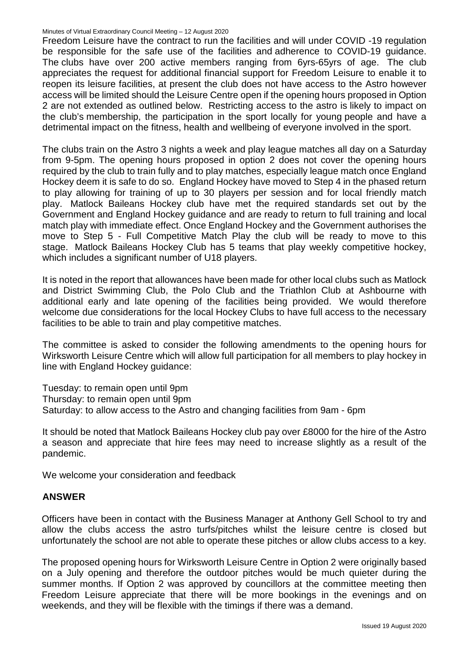Freedom Leisure have the contract to run the facilities and will under COVID -19 regulation be responsible for the safe use of the facilities and adherence to COVID-19 guidance. The clubs have over 200 active members ranging from 6yrs-65yrs of age. The club appreciates the request for additional financial support for Freedom Leisure to enable it to reopen its leisure facilities, at present the club does not have access to the Astro however access will be limited should the Leisure Centre open if the opening hours proposed in Option 2 are not extended as outlined below. Restricting access to the astro is likely to impact on the club's membership, the participation in the sport locally for young people and have a detrimental impact on the fitness, health and wellbeing of everyone involved in the sport.

The clubs train on the Astro 3 nights a week and play league matches all day on a Saturday from 9-5pm. The opening hours proposed in option 2 does not cover the opening hours required by the club to train fully and to play matches, especially league match once England Hockey deem it is safe to do so. England Hockey have moved to Step 4 in the phased return to play allowing for training of up to 30 players per session and for local friendly match play. Matlock Baileans Hockey club have met the required standards set out by the Government and England Hockey guidance and are ready to return to full training and local match play with immediate effect. Once England Hockey and the Government authorises the move to Step 5 - Full Competitive Match Play the club will be ready to move to this stage. Matlock Baileans Hockey Club has 5 teams that play weekly competitive hockey, which includes a significant number of U18 players.

It is noted in the report that allowances have been made for other local clubs such as Matlock and District Swimming Club, the Polo Club and the Triathlon Club at Ashbourne with additional early and late opening of the facilities being provided. We would therefore welcome due considerations for the local Hockey Clubs to have full access to the necessary facilities to be able to train and play competitive matches.

The committee is asked to consider the following amendments to the opening hours for Wirksworth Leisure Centre which will allow full participation for all members to play hockey in line with England Hockey guidance:

Tuesday: to remain open until 9pm Thursday: to remain open until 9pm Saturday: to allow access to the Astro and changing facilities from 9am - 6pm

It should be noted that Matlock Baileans Hockey club pay over £8000 for the hire of the Astro a season and appreciate that hire fees may need to increase slightly as a result of the pandemic.

We welcome your consideration and feedback

### **ANSWER**

Officers have been in contact with the Business Manager at Anthony Gell School to try and allow the clubs access the astro turfs/pitches whilst the leisure centre is closed but unfortunately the school are not able to operate these pitches or allow clubs access to a key.

The proposed opening hours for Wirksworth Leisure Centre in Option 2 were originally based on a July opening and therefore the outdoor pitches would be much quieter during the summer months. If Option 2 was approved by councillors at the committee meeting then Freedom Leisure appreciate that there will be more bookings in the evenings and on weekends, and they will be flexible with the timings if there was a demand.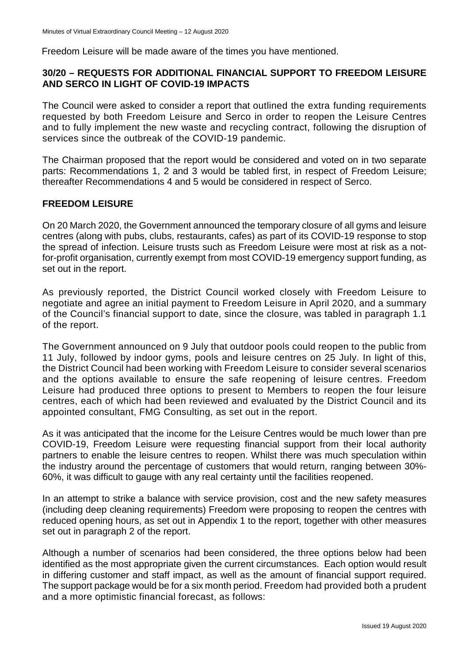Freedom Leisure will be made aware of the times you have mentioned.

### **30/20 – REQUESTS FOR ADDITIONAL FINANCIAL SUPPORT TO FREEDOM LEISURE AND SERCO IN LIGHT OF COVID-19 IMPACTS**

The Council were asked to consider a report that outlined the extra funding requirements requested by both Freedom Leisure and Serco in order to reopen the Leisure Centres and to fully implement the new waste and recycling contract, following the disruption of services since the outbreak of the COVID-19 pandemic.

The Chairman proposed that the report would be considered and voted on in two separate parts: Recommendations 1, 2 and 3 would be tabled first, in respect of Freedom Leisure; thereafter Recommendations 4 and 5 would be considered in respect of Serco.

### **FREEDOM LEISURE**

On 20 March 2020, the Government announced the temporary closure of all gyms and leisure centres (along with pubs, clubs, restaurants, cafes) as part of its COVID-19 response to stop the spread of infection. Leisure trusts such as Freedom Leisure were most at risk as a notfor-profit organisation, currently exempt from most COVID-19 emergency support funding, as set out in the report.

As previously reported, the District Council worked closely with Freedom Leisure to negotiate and agree an initial payment to Freedom Leisure in April 2020, and a summary of the Council's financial support to date, since the closure, was tabled in paragraph 1.1 of the report.

The Government announced on 9 July that outdoor pools could reopen to the public from 11 July, followed by indoor gyms, pools and leisure centres on 25 July. In light of this, the District Council had been working with Freedom Leisure to consider several scenarios and the options available to ensure the safe reopening of leisure centres. Freedom Leisure had produced three options to present to Members to reopen the four leisure centres, each of which had been reviewed and evaluated by the District Council and its appointed consultant, FMG Consulting, as set out in the report.

As it was anticipated that the income for the Leisure Centres would be much lower than pre COVID-19, Freedom Leisure were requesting financial support from their local authority partners to enable the leisure centres to reopen. Whilst there was much speculation within the industry around the percentage of customers that would return, ranging between 30%- 60%, it was difficult to gauge with any real certainty until the facilities reopened.

In an attempt to strike a balance with service provision, cost and the new safety measures (including deep cleaning requirements) Freedom were proposing to reopen the centres with reduced opening hours, as set out in Appendix 1 to the report, together with other measures set out in paragraph 2 of the report.

Although a number of scenarios had been considered, the three options below had been identified as the most appropriate given the current circumstances. Each option would result in differing customer and staff impact, as well as the amount of financial support required. The support package would be for a six month period. Freedom had provided both a prudent and a more optimistic financial forecast, as follows: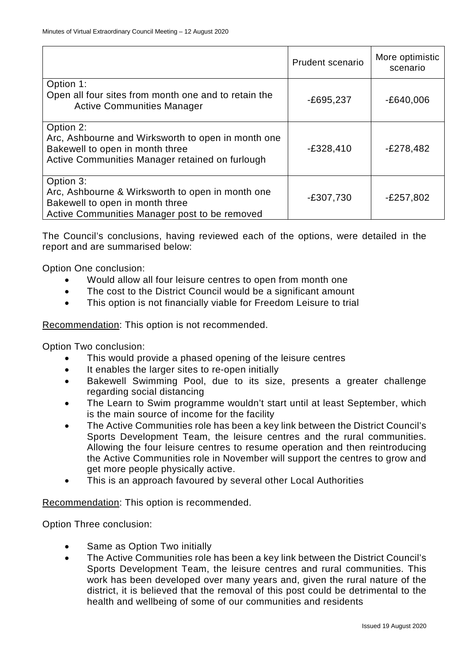|                                                                                                                                                       | Prudent scenario | More optimistic<br>scenario |
|-------------------------------------------------------------------------------------------------------------------------------------------------------|------------------|-----------------------------|
| Option 1:<br>Open all four sites from month one and to retain the<br><b>Active Communities Manager</b>                                                | $-E695,237$      | $-E640,006$                 |
| Option 2:<br>Arc, Ashbourne and Wirksworth to open in month one<br>Bakewell to open in month three<br>Active Communities Manager retained on furlough | $-E328,410$      | $-E278,482$                 |
| Option 3:<br>Arc, Ashbourne & Wirksworth to open in month one<br>Bakewell to open in month three<br>Active Communities Manager post to be removed     | $-£307,730$      | $-E257,802$                 |

The Council's conclusions, having reviewed each of the options, were detailed in the report and are summarised below:

Option One conclusion:

- Would allow all four leisure centres to open from month one
- The cost to the District Council would be a significant amount
- This option is not financially viable for Freedom Leisure to trial

Recommendation: This option is not recommended.

Option Two conclusion:

- This would provide a phased opening of the leisure centres
- It enables the larger sites to re-open initially
- Bakewell Swimming Pool, due to its size, presents a greater challenge regarding social distancing
- The Learn to Swim programme wouldn't start until at least September, which is the main source of income for the facility
- The Active Communities role has been a key link between the District Council's Sports Development Team, the leisure centres and the rural communities. Allowing the four leisure centres to resume operation and then reintroducing the Active Communities role in November will support the centres to grow and get more people physically active.
- This is an approach favoured by several other Local Authorities

Recommendation: This option is recommended.

Option Three conclusion:

- Same as Option Two initially
- The Active Communities role has been a key link between the District Council's Sports Development Team, the leisure centres and rural communities. This work has been developed over many years and, given the rural nature of the district, it is believed that the removal of this post could be detrimental to the health and wellbeing of some of our communities and residents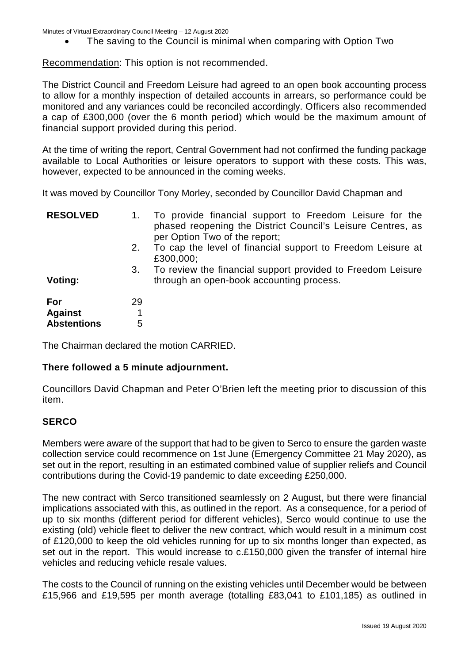• The saving to the Council is minimal when comparing with Option Two

Recommendation: This option is not recommended.

The District Council and Freedom Leisure had agreed to an open book accounting process to allow for a monthly inspection of detailed accounts in arrears, so performance could be monitored and any variances could be reconciled accordingly. Officers also recommended a cap of £300,000 (over the 6 month period) which would be the maximum amount of financial support provided during this period.

At the time of writing the report, Central Government had not confirmed the funding package available to Local Authorities or leisure operators to support with these costs. This was, however, expected to be announced in the coming weeks.

It was moved by Councillor Tony Morley, seconded by Councillor David Chapman and

| <b>RESOLVED</b>    |    | To provide financial support to Freedom Leisure for the<br>phased reopening the District Council's Leisure Centres, as<br>per Option Two of the report; |
|--------------------|----|---------------------------------------------------------------------------------------------------------------------------------------------------------|
|                    | 2. | To cap the level of financial support to Freedom Leisure at<br>£300,000;                                                                                |
| Voting:            | 3. | To review the financial support provided to Freedom Leisure<br>through an open-book accounting process.                                                 |
| For                | 29 |                                                                                                                                                         |
| <b>Against</b>     |    |                                                                                                                                                         |
| <b>Abstentions</b> | 5  |                                                                                                                                                         |

The Chairman declared the motion CARRIED.

### **There followed a 5 minute adjournment.**

Councillors David Chapman and Peter O'Brien left the meeting prior to discussion of this item.

### **SERCO**

Members were aware of the support that had to be given to Serco to ensure the garden waste collection service could recommence on 1st June (Emergency Committee 21 May 2020), as set out in the report, resulting in an estimated combined value of supplier reliefs and Council contributions during the Covid-19 pandemic to date exceeding £250,000.

The new contract with Serco transitioned seamlessly on 2 August, but there were financial implications associated with this, as outlined in the report. As a consequence, for a period of up to six months (different period for different vehicles), Serco would continue to use the existing (old) vehicle fleet to deliver the new contract, which would result in a minimum cost of £120,000 to keep the old vehicles running for up to six months longer than expected, as set out in the report. This would increase to c.£150,000 given the transfer of internal hire vehicles and reducing vehicle resale values.

The costs to the Council of running on the existing vehicles until December would be between £15,966 and £19,595 per month average (totalling £83,041 to £101,185) as outlined in